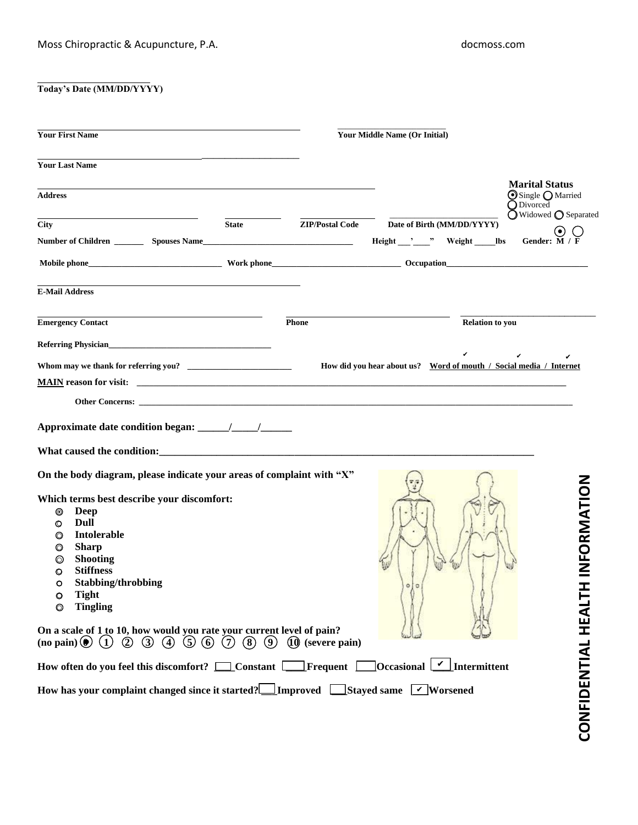## **Today's Date (MM/DD/YYYY)**

| <b>Your First Name</b>                                                                                                                                                                                                                                                                                                                                                                                                                                                                                                                                                                                                   |              | <b>Your Middle Name (Or Initial)</b> |                          |                                                                       |                                                                                   |
|--------------------------------------------------------------------------------------------------------------------------------------------------------------------------------------------------------------------------------------------------------------------------------------------------------------------------------------------------------------------------------------------------------------------------------------------------------------------------------------------------------------------------------------------------------------------------------------------------------------------------|--------------|--------------------------------------|--------------------------|-----------------------------------------------------------------------|-----------------------------------------------------------------------------------|
| <b>Your Last Name</b>                                                                                                                                                                                                                                                                                                                                                                                                                                                                                                                                                                                                    |              |                                      |                          |                                                                       |                                                                                   |
| <b>Address</b>                                                                                                                                                                                                                                                                                                                                                                                                                                                                                                                                                                                                           |              |                                      |                          |                                                                       | <b>Marital Status</b><br>Single O Married<br><b>O</b> Divorced                    |
| City                                                                                                                                                                                                                                                                                                                                                                                                                                                                                                                                                                                                                     | <b>State</b> | <b>ZIP/Postal Code</b>               |                          | Date of Birth (MM/DD/YYYY)<br>Height __________" Weight _________ lbs | $\overline{O}$ Widowed $\overline{O}$ Separated<br>$(\bullet)$<br>Gender: $M / F$ |
|                                                                                                                                                                                                                                                                                                                                                                                                                                                                                                                                                                                                                          |              |                                      |                          |                                                                       |                                                                                   |
| <b>E-Mail Address</b>                                                                                                                                                                                                                                                                                                                                                                                                                                                                                                                                                                                                    |              |                                      |                          |                                                                       |                                                                                   |
| <b>Emergency Contact</b>                                                                                                                                                                                                                                                                                                                                                                                                                                                                                                                                                                                                 | <b>Phone</b> |                                      |                          | <b>Relation to you</b>                                                |                                                                                   |
| Referring Physician                                                                                                                                                                                                                                                                                                                                                                                                                                                                                                                                                                                                      |              |                                      |                          |                                                                       |                                                                                   |
|                                                                                                                                                                                                                                                                                                                                                                                                                                                                                                                                                                                                                          |              |                                      |                          |                                                                       | How did you hear about us? Word of mouth / Social media / Internet                |
|                                                                                                                                                                                                                                                                                                                                                                                                                                                                                                                                                                                                                          |              |                                      |                          |                                                                       |                                                                                   |
| On the body diagram, please indicate your areas of complaint with "X"<br>Which terms best describe your discomfort:<br><b>Deep</b><br>◉<br>Dull<br>⊙<br><b>Intolerable</b><br>◎<br><b>Sharp</b><br>◎<br><b>Shooting</b><br>©<br><b>Stiffness</b><br>O<br>Stabbing/throbbing<br>O<br><b>Tight</b><br>O<br><b>Tingling</b><br>0<br>On a scale of 1 to 10, how would you rate your current level of pain?<br>(no pain)(① (1) ② ③ ④)<br>$(5)$ (6) $(7)$<br>How often do you feel this discomfort? $\Box$ Constant $\Box$ Frequent $\Box$<br>How has your complaint changed since it started? Improved Stayed same V Worsened | (8)<br>(9)   | $(10)$ (severe pain)                 | $\ddot{\mathbf{O}}$<br>o | $\overline{\text{Occational} \cup \text{Internet}}$                   | INFORMATION<br>ᆂ<br>CONFIDENTIAL HEAI                                             |
|                                                                                                                                                                                                                                                                                                                                                                                                                                                                                                                                                                                                                          |              |                                      |                          |                                                                       |                                                                                   |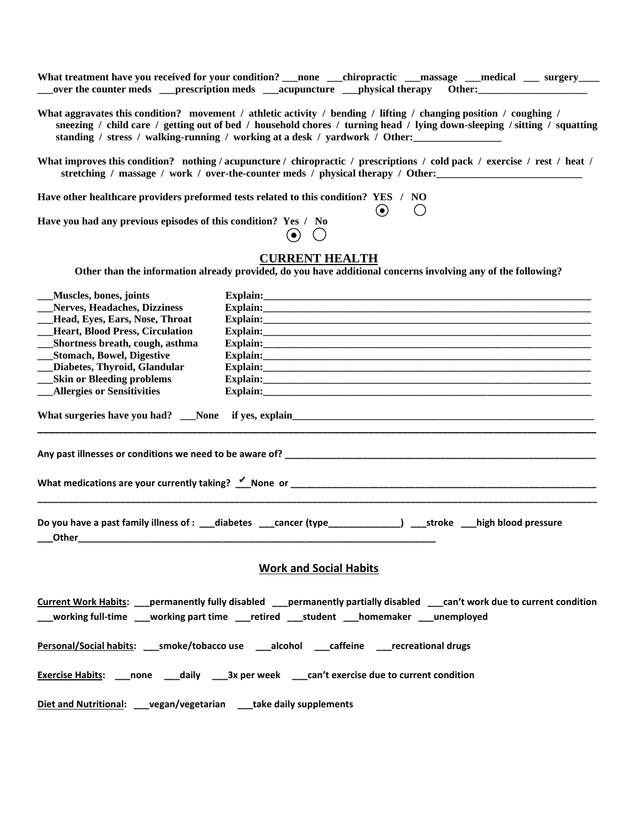| What treatment have you received for your condition? ___ none ____chiropractic ____massage ____medical ____ surgery_<br>over the counter meds _____prescription meds ______acupuncture _____bhysical therapy Other:___________________                                                                                                                                                                                                                                                                                                               |
|------------------------------------------------------------------------------------------------------------------------------------------------------------------------------------------------------------------------------------------------------------------------------------------------------------------------------------------------------------------------------------------------------------------------------------------------------------------------------------------------------------------------------------------------------|
| What aggravates this condition? movement / athletic activity / bending / lifting / changing position / coughing /<br>sneezing / child care / getting out of bed / household chores / turning head / lying down-sleeping / sitting / squatting                                                                                                                                                                                                                                                                                                        |
| What improves this condition? nothing / acupuncture / chiropractic / prescriptions / cold pack / exercise / rest / heat /<br>stretching / massage / work / over-the-counter meds / physical therapy / Other:                                                                                                                                                                                                                                                                                                                                         |
| Have other healthcare providers preformed tests related to this condition? YES / NO                                                                                                                                                                                                                                                                                                                                                                                                                                                                  |
| $\left( \bullet \right)$<br>Have you had any previous episodes of this condition? Yes / No<br>$(\bullet)$ .<br>$\left( \quad \right)$                                                                                                                                                                                                                                                                                                                                                                                                                |
| <b>CURRENT HEALTH</b>                                                                                                                                                                                                                                                                                                                                                                                                                                                                                                                                |
| Other than the information already provided, do you have additional concerns involving any of the following?                                                                                                                                                                                                                                                                                                                                                                                                                                         |
| Muscles, bones, joints<br>Nerves, Headaches, Dizziness<br>Explain: The Commission of the Commission of the Commission of the Commission of the Commission of the Commission of the Commission of the Commission of the Commission of the Commission of the Commission of the Commission<br>Head, Eyes, Ears, Nose, Throat<br><b>Heart, Blood Press, Circulation</b><br>Shortness breath, cough, asthma<br><b>Stomach, Bowel, Digestive</b><br>Diabetes, Thyroid, Glandular<br><b>Skin or Bleeding problems</b><br><b>_Allergies or Sensitivities</b> |
|                                                                                                                                                                                                                                                                                                                                                                                                                                                                                                                                                      |
|                                                                                                                                                                                                                                                                                                                                                                                                                                                                                                                                                      |
| Do you have a past family illness of : ___diabetes ____cancer (type______________) ___stroke ___high blood pressure<br>Other_                                                                                                                                                                                                                                                                                                                                                                                                                        |
| <b>Work and Social Habits</b>                                                                                                                                                                                                                                                                                                                                                                                                                                                                                                                        |
| Current Work Habits: __ permanently fully disabled __ permanently partially disabled ___ can't work due to current condition<br>___working full-time ___working part time ___retired ___student ___homemaker ___unemployed                                                                                                                                                                                                                                                                                                                           |
| Personal/Social habits: ____ smoke/tobacco use _____ alcohol _____ caffeine ______ recreational drugs                                                                                                                                                                                                                                                                                                                                                                                                                                                |
| <b>Exercise Habits:</b> ___none ___daily ___3x per week ___can't exercise due to current condition                                                                                                                                                                                                                                                                                                                                                                                                                                                   |
| Diet and Nutritional: __vegan/vegetarian __take daily supplements                                                                                                                                                                                                                                                                                                                                                                                                                                                                                    |